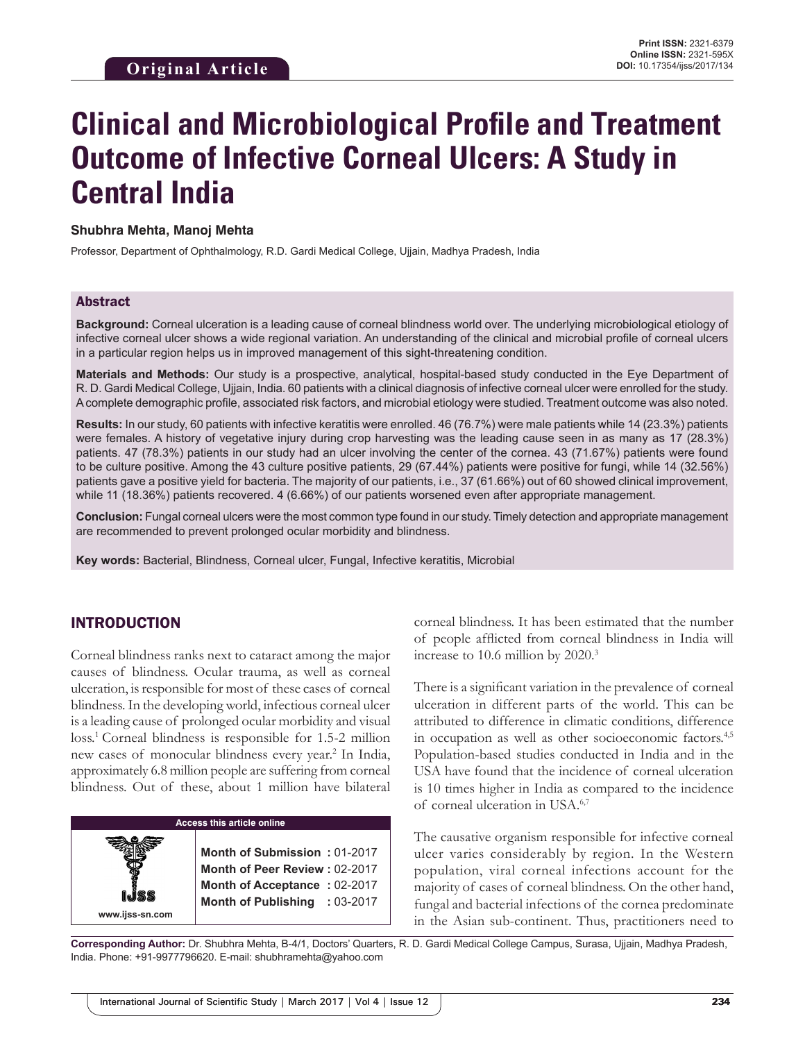# **Clinical and Microbiological Profile and Treatment Outcome of Infective Corneal Ulcers: A Study in Central India**

#### **Shubhra Mehta, Manoj Mehta**

Professor, Department of Ophthalmology, R.D. Gardi Medical College, Ujjain, Madhya Pradesh, India

#### Abstract

**Background:** Corneal ulceration is a leading cause of corneal blindness world over. The underlying microbiological etiology of infective corneal ulcer shows a wide regional variation. An understanding of the clinical and microbial profile of corneal ulcers in a particular region helps us in improved management of this sight-threatening condition.

**Materials and Methods:** Our study is a prospective, analytical, hospital-based study conducted in the Eye Department of R. D. Gardi Medical College, Ujjain, India. 60 patients with a clinical diagnosis of infective corneal ulcer were enrolled for the study. Acomplete demographic profile, associated risk factors, and microbial etiology were studied. Treatment outcome was also noted.

**Results:** In our study, 60 patients with infective keratitis were enrolled. 46 (76.7%) were male patients while 14 (23.3%) patients were females. A history of vegetative injury during crop harvesting was the leading cause seen in as many as 17 (28.3%) patients. 47 (78.3%) patients in our study had an ulcer involving the center of the cornea. 43 (71.67%) patients were found to be culture positive. Among the 43 culture positive patients, 29 (67.44%) patients were positive for fungi, while 14 (32.56%) patients gave a positive yield for bacteria. The majority of our patients, i.e., 37 (61.66%) out of 60 showed clinical improvement, while 11 (18.36%) patients recovered. 4 (6.66%) of our patients worsened even after appropriate management.

**Conclusion:** Fungal corneal ulcers were the most common type found in our study. Timely detection and appropriate management are recommended to prevent prolonged ocular morbidity and blindness.

**Key words:** Bacterial, Blindness, Corneal ulcer, Fungal, Infective keratitis, Microbial

### INTRODUCTION

Corneal blindness ranks next to cataract among the major causes of blindness. Ocular trauma, as well as corneal ulceration, is responsible for most of these cases of corneal blindness. In the developing world, infectious corneal ulcer is a leading cause of prolonged ocular morbidity and visual loss.<sup>1</sup> Corneal blindness is responsible for 1.5-2 million new cases of monocular blindness every year.<sup>2</sup> In India, approximately 6.8 million people are suffering from corneal blindness. Out of these, about 1 million have bilateral

| <b>Access this article online</b> |                                                                                                                                |  |  |
|-----------------------------------|--------------------------------------------------------------------------------------------------------------------------------|--|--|
|                                   | Month of Submission: 01-2017<br>Month of Peer Review: 02-2017<br>Month of Acceptance: 02-2017<br>Month of Publishing : 03-2017 |  |  |
| www.ijss-sn.com                   |                                                                                                                                |  |  |

corneal blindness. It has been estimated that the number of people afflicted from corneal blindness in India will increase to 10.6 million by 2020.3

There is a significant variation in the prevalence of corneal ulceration in different parts of the world. This can be attributed to difference in climatic conditions, difference in occupation as well as other socioeconomic factors.<sup>4,5</sup> Population-based studies conducted in India and in the USA have found that the incidence of corneal ulceration is 10 times higher in India as compared to the incidence of corneal ulceration in USA.6,7

The causative organism responsible for infective corneal ulcer varies considerably by region. In the Western population, viral corneal infections account for the majority of cases of corneal blindness. On the other hand, fungal and bacterial infections of the cornea predominate in the Asian sub-continent. Thus, practitioners need to

**Corresponding Author:** Dr. Shubhra Mehta, B-4/1, Doctors' Quarters, R. D. Gardi Medical College Campus, Surasa, Ujjain, Madhya Pradesh, India. Phone: +91-9977796620. E-mail: shubhramehta@yahoo.com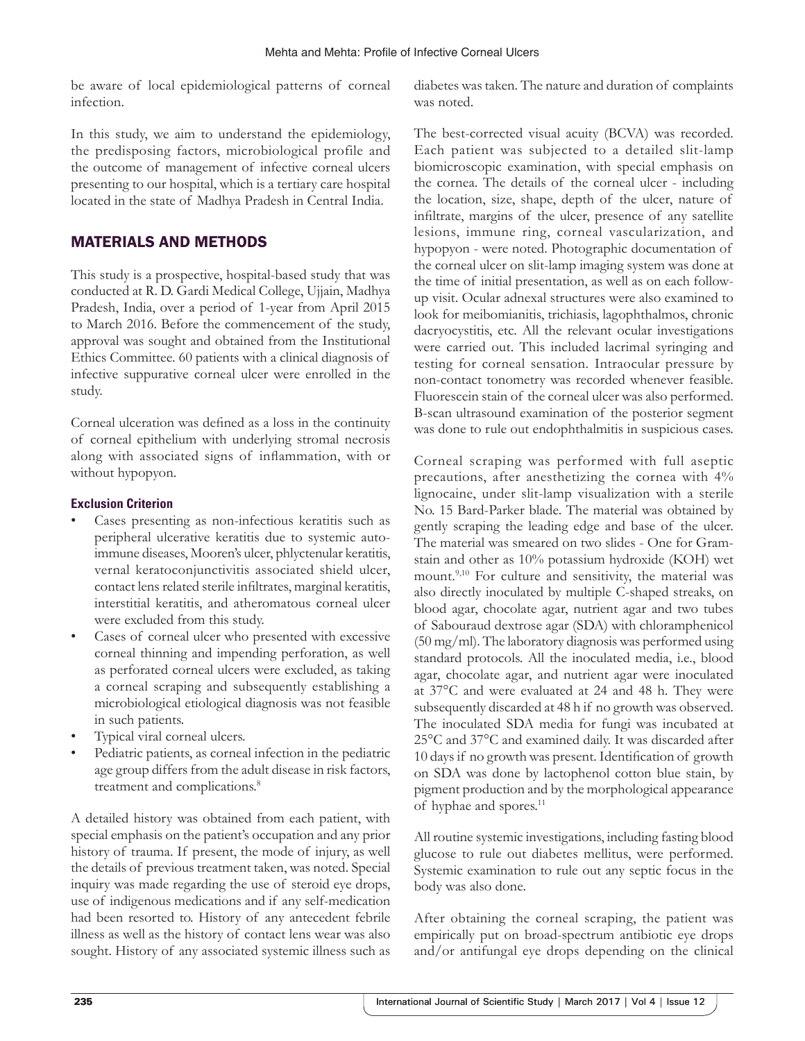be aware of local epidemiological patterns of corneal infection.

In this study, we aim to understand the epidemiology, the predisposing factors, microbiological profile and the outcome of management of infective corneal ulcers presenting to our hospital, which is a tertiary care hospital located in the state of Madhya Pradesh in Central India.

## MATERIALS AND METHODS

This study is a prospective, hospital-based study that was conducted at R. D. Gardi Medical College, Ujjain, Madhya Pradesh, India, over a period of 1-year from April 2015 to March 2016. Before the commencement of the study, approval was sought and obtained from the Institutional Ethics Committee. 60 patients with a clinical diagnosis of infective suppurative corneal ulcer were enrolled in the study.

Corneal ulceration was defined as a loss in the continuity of corneal epithelium with underlying stromal necrosis along with associated signs of inflammation, with or without hypopyon.

## **Exclusion Criterion**

- Cases presenting as non-infectious keratitis such as peripheral ulcerative keratitis due to systemic autoimmune diseases, Mooren's ulcer, phlyctenular keratitis, vernal keratoconjunctivitis associated shield ulcer, contact lens related sterile infiltrates, marginal keratitis, interstitial keratitis, and atheromatous corneal ulcer were excluded from this study.
- Cases of corneal ulcer who presented with excessive corneal thinning and impending perforation, as well as perforated corneal ulcers were excluded, as taking a corneal scraping and subsequently establishing a microbiological etiological diagnosis was not feasible in such patients.
- Typical viral corneal ulcers.
- Pediatric patients, as corneal infection in the pediatric age group differs from the adult disease in risk factors, treatment and complications.<sup>8</sup>

A detailed history was obtained from each patient, with special emphasis on the patient's occupation and any prior history of trauma. If present, the mode of injury, as well the details of previous treatment taken, was noted. Special inquiry was made regarding the use of steroid eye drops, use of indigenous medications and if any self-medication had been resorted to. History of any antecedent febrile illness as well as the history of contact lens wear was also sought. History of any associated systemic illness such as

diabetes was taken. The nature and duration of complaints was noted.

The best-corrected visual acuity (BCVA) was recorded. Each patient was subjected to a detailed slit-lamp biomicroscopic examination, with special emphasis on the cornea. The details of the corneal ulcer - including the location, size, shape, depth of the ulcer, nature of infiltrate, margins of the ulcer, presence of any satellite lesions, immune ring, corneal vascularization, and hypopyon - were noted. Photographic documentation of the corneal ulcer on slit-lamp imaging system was done at the time of initial presentation, as well as on each followup visit. Ocular adnexal structures were also examined to look for meibomianitis, trichiasis, lagophthalmos, chronic dacryocystitis, etc. All the relevant ocular investigations were carried out. This included lacrimal syringing and testing for corneal sensation. Intraocular pressure by non-contact tonometry was recorded whenever feasible. Fluorescein stain of the corneal ulcer was also performed. B-scan ultrasound examination of the posterior segment was done to rule out endophthalmitis in suspicious cases.

Corneal scraping was performed with full aseptic precautions, after anesthetizing the cornea with 4% lignocaine, under slit-lamp visualization with a sterile No. 15 Bard-Parker blade. The material was obtained by gently scraping the leading edge and base of the ulcer. The material was smeared on two slides - One for Gramstain and other as 10% potassium hydroxide (KOH) wet mount.<sup>9,10</sup> For culture and sensitivity, the material was also directly inoculated by multiple C-shaped streaks, on blood agar, chocolate agar, nutrient agar and two tubes of Sabouraud dextrose agar (SDA) with chloramphenicol (50 mg/ml). The laboratory diagnosis was performed using standard protocols. All the inoculated media, i.e., blood agar, chocolate agar, and nutrient agar were inoculated at 37°C and were evaluated at 24 and 48 h. They were subsequently discarded at 48 h if no growth was observed. The inoculated SDA media for fungi was incubated at 25°C and 37°C and examined daily. It was discarded after 10 days if no growth was present. Identification of growth on SDA was done by lactophenol cotton blue stain, by pigment production and by the morphological appearance of hyphae and spores.<sup>11</sup>

All routine systemic investigations, including fasting blood glucose to rule out diabetes mellitus, were performed. Systemic examination to rule out any septic focus in the body was also done.

After obtaining the corneal scraping, the patient was empirically put on broad-spectrum antibiotic eye drops and/or antifungal eye drops depending on the clinical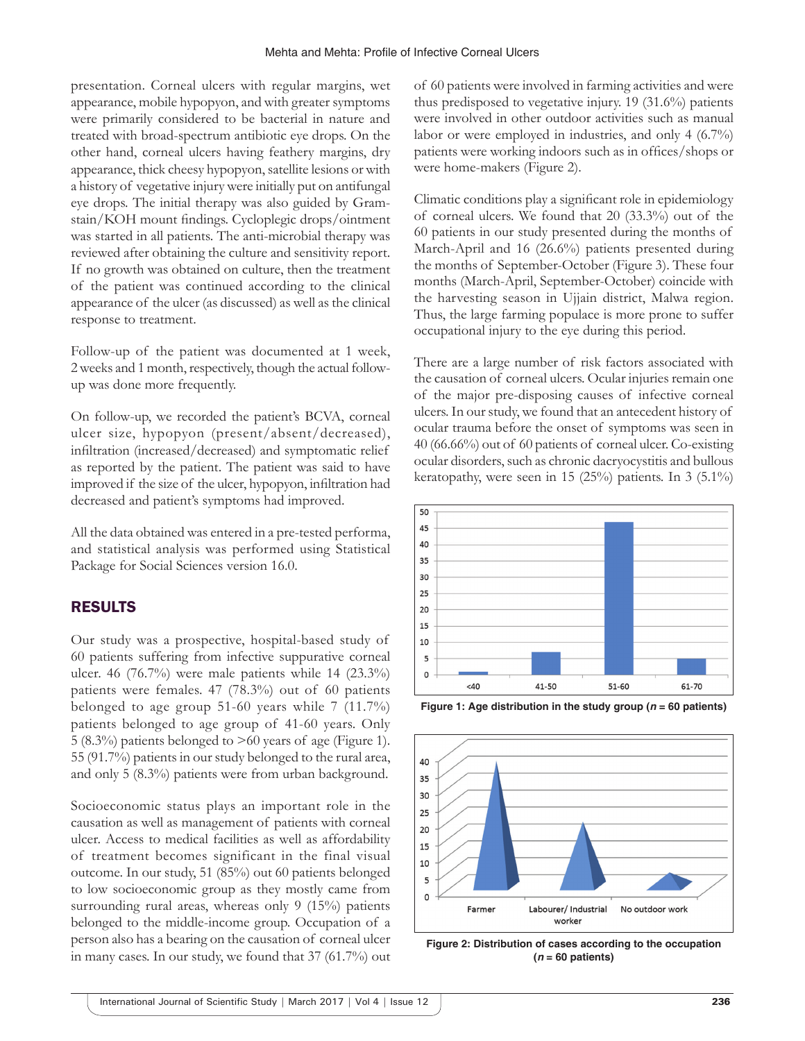presentation. Corneal ulcers with regular margins, wet appearance, mobile hypopyon, and with greater symptoms were primarily considered to be bacterial in nature and treated with broad-spectrum antibiotic eye drops. On the other hand, corneal ulcers having feathery margins, dry appearance, thick cheesy hypopyon, satellite lesions or with a history of vegetative injury were initially put on antifungal eye drops. The initial therapy was also guided by Gramstain/KOH mount findings. Cycloplegic drops/ointment was started in all patients. The anti-microbial therapy was reviewed after obtaining the culture and sensitivity report. If no growth was obtained on culture, then the treatment of the patient was continued according to the clinical appearance of the ulcer (as discussed) as well as the clinical response to treatment.

Follow-up of the patient was documented at 1 week, 2weeks and 1 month, respectively, though the actual followup was done more frequently.

On follow-up, we recorded the patient's BCVA, corneal ulcer size, hypopyon (present/absent/decreased), infiltration (increased/decreased) and symptomatic relief as reported by the patient. The patient was said to have improved if the size of the ulcer, hypopyon, infiltration had decreased and patient's symptoms had improved.

All the data obtained was entered in a pre-tested performa, and statistical analysis was performed using Statistical Package for Social Sciences version 16.0.

# RESULTS

Our study was a prospective, hospital-based study of 60 patients suffering from infective suppurative corneal ulcer. 46 (76.7%) were male patients while 14 (23.3%) patients were females. 47 (78.3%) out of 60 patients belonged to age group 51-60 years while 7 (11.7%) patients belonged to age group of 41-60 years. Only 5 (8.3%) patients belonged to >60 years of age (Figure 1). 55 (91.7%) patients in our study belonged to the rural area, and only 5 (8.3%) patients were from urban background.

Socioeconomic status plays an important role in the causation as well as management of patients with corneal ulcer. Access to medical facilities as well as affordability of treatment becomes significant in the final visual outcome. In our study, 51 (85%) out 60 patients belonged to low socioeconomic group as they mostly came from surrounding rural areas, whereas only 9 (15%) patients belonged to the middle-income group. Occupation of a person also has a bearing on the causation of corneal ulcer in many cases. In our study, we found that 37 (61.7%) out of 60 patients were involved in farming activities and were thus predisposed to vegetative injury. 19 (31.6%) patients were involved in other outdoor activities such as manual labor or were employed in industries, and only 4 (6.7%) patients were working indoors such as in offices/shops or were home-makers (Figure 2).

Climatic conditions play a significant role in epidemiology of corneal ulcers. We found that 20 (33.3%) out of the 60 patients in our study presented during the months of March-April and 16 (26.6%) patients presented during the months of September-October (Figure 3). These four months (March-April, September-October) coincide with the harvesting season in Ujjain district, Malwa region. Thus, the large farming populace is more prone to suffer occupational injury to the eye during this period.

There are a large number of risk factors associated with the causation of corneal ulcers. Ocular injuries remain one of the major pre-disposing causes of infective corneal ulcers. In our study, we found that an antecedent history of ocular trauma before the onset of symptoms was seen in 40 (66.66%) out of 60 patients of corneal ulcer. Co-existing ocular disorders, such as chronic dacryocystitis and bullous keratopathy, were seen in 15 (25%) patients. In 3 (5.1%)



**Figure 1: Age distribution in the study group (***n* **= 60 patients)**



**Figure 2: Distribution of cases according to the occupation (***n* **= 60 patients)**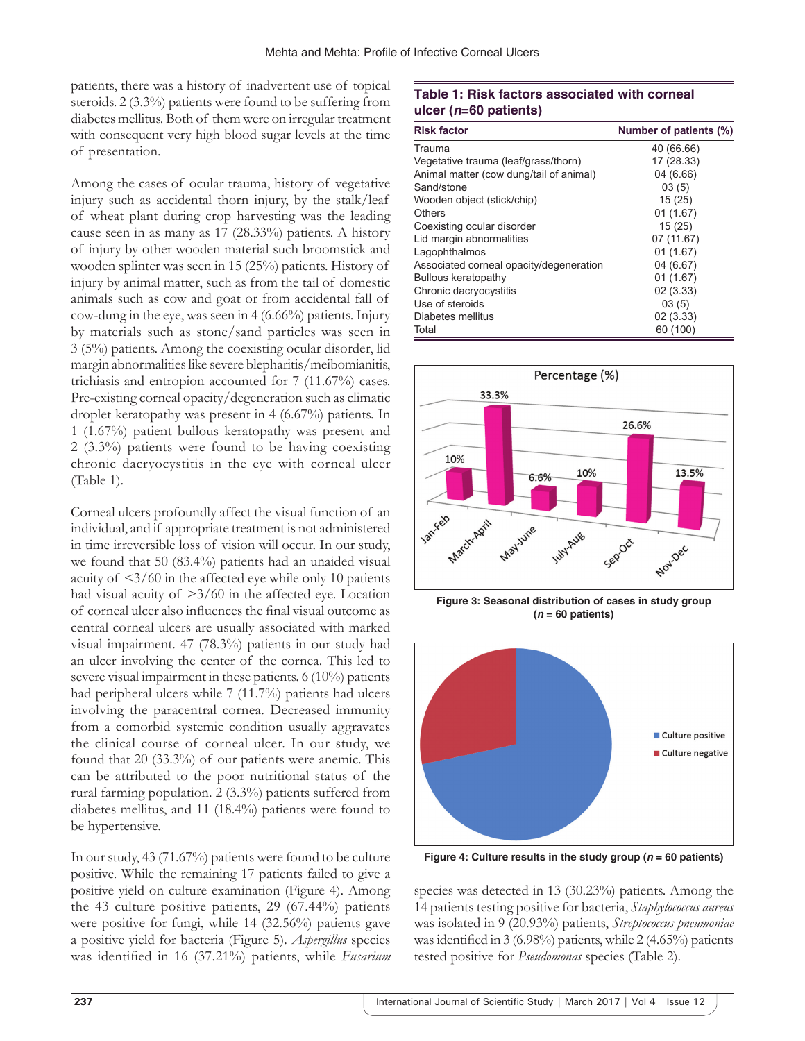patients, there was a history of inadvertent use of topical steroids. 2 (3.3%) patients were found to be suffering from diabetes mellitus. Both of them were on irregular treatment with consequent very high blood sugar levels at the time of presentation.

Among the cases of ocular trauma, history of vegetative injury such as accidental thorn injury, by the stalk/leaf of wheat plant during crop harvesting was the leading cause seen in as many as 17 (28.33%) patients. A history of injury by other wooden material such broomstick and wooden splinter was seen in 15 (25%) patients. History of injury by animal matter, such as from the tail of domestic animals such as cow and goat or from accidental fall of cow-dung in the eye, was seen in 4 (6.66%) patients. Injury by materials such as stone/sand particles was seen in 3 (5%) patients. Among the coexisting ocular disorder, lid margin abnormalities like severe blepharitis/meibomianitis, trichiasis and entropion accounted for 7 (11.67%) cases. Pre-existing corneal opacity/degeneration such as climatic droplet keratopathy was present in 4 (6.67%) patients. In 1 (1.67%) patient bullous keratopathy was present and 2 (3.3%) patients were found to be having coexisting chronic dacryocystitis in the eye with corneal ulcer (Table 1).

Corneal ulcers profoundly affect the visual function of an individual, and if appropriate treatment is not administered in time irreversible loss of vision will occur. In our study, we found that 50 (83.4%) patients had an unaided visual acuity of  $\langle 3/60 \rangle$  in the affected eye while only 10 patients had visual acuity of  $\geq 3/60$  in the affected eye. Location of corneal ulcer also influences the final visual outcome as central corneal ulcers are usually associated with marked visual impairment. 47 (78.3%) patients in our study had an ulcer involving the center of the cornea. This led to severe visual impairment in these patients. 6 (10%) patients had peripheral ulcers while 7 (11.7%) patients had ulcers involving the paracentral cornea. Decreased immunity from a comorbid systemic condition usually aggravates the clinical course of corneal ulcer. In our study, we found that 20 (33.3%) of our patients were anemic. This can be attributed to the poor nutritional status of the rural farming population. 2 (3.3%) patients suffered from diabetes mellitus, and 11 (18.4%) patients were found to be hypertensive.

In our study, 43 (71.67%) patients were found to be culture positive. While the remaining 17 patients failed to give a positive yield on culture examination (Figure 4). Among the 43 culture positive patients, 29 (67.44%) patients were positive for fungi, while 14 (32.56%) patients gave a positive yield for bacteria (Figure 5). *Aspergillus* species was identified in 16 (37.21%) patients, while *Fusarium*

## **Table 1: Risk factors associated with corneal ulcer (***n***=60 patients)**

| <b>Risk factor</b>                      | Number of patients (%) |
|-----------------------------------------|------------------------|
| Trauma                                  | 40 (66.66)             |
| Vegetative trauma (leaf/grass/thorn)    | 17 (28.33)             |
| Animal matter (cow dung/tail of animal) | 04 (6.66)              |
| Sand/stone                              | 03(5)                  |
| Wooden object (stick/chip)              | 15(25)                 |
| Others                                  | 01(1.67)               |
| Coexisting ocular disorder              | 15(25)                 |
| Lid margin abnormalities                | 07 (11.67)             |
| Lagophthalmos                           | 01(1.67)               |
| Associated corneal opacity/degeneration | 04 (6.67)              |
| Bullous keratopathy                     | 01(1.67)               |
| Chronic dacryocystitis                  | 02(3.33)               |
| Use of steroids                         | 03(5)                  |
| Diabetes mellitus                       | 02 (3.33)              |
| Total                                   | 60 (100)               |



**Figure 3: Seasonal distribution of cases in study group (***n* **= 60 patients)**



**Figure 4: Culture results in the study group (***n* **= 60 patients)**

species was detected in 13 (30.23%) patients. Among the 14 patients testing positive for bacteria, *Staphylococcus aureus* was isolated in 9 (20.93%) patients, *Streptococcus pneumoniae* was identified in 3 (6.98%) patients, while 2 (4.65%) patients tested positive for *Pseudomonas* species (Table 2).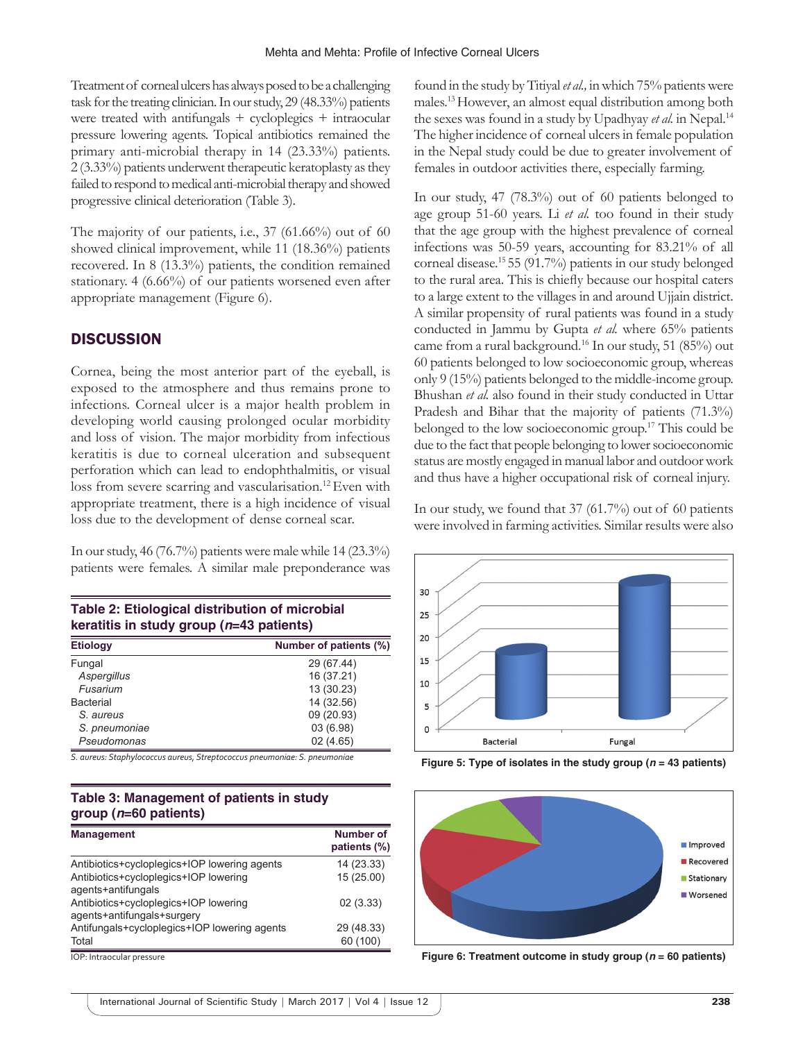Treatment of corneal ulcers has always posed to be a challenging task for the treating clinician. In our study, 29 (48.33%) patients were treated with antifungals + cycloplegics + intraocular pressure lowering agents. Topical antibiotics remained the primary anti-microbial therapy in 14 (23.33%) patients. 2 (3.33%) patients underwent therapeutic keratoplasty as they failed to respond to medical anti-microbial therapy and showed progressive clinical deterioration (Table 3).

The majority of our patients, i.e., 37 (61.66%) out of 60 showed clinical improvement, while 11 (18.36%) patients recovered. In 8 (13.3%) patients, the condition remained stationary. 4 (6.66%) of our patients worsened even after appropriate management (Figure 6).

## **DISCUSSION**

Cornea, being the most anterior part of the eyeball, is exposed to the atmosphere and thus remains prone to infections. Corneal ulcer is a major health problem in developing world causing prolonged ocular morbidity and loss of vision. The major morbidity from infectious keratitis is due to corneal ulceration and subsequent perforation which can lead to endophthalmitis, or visual loss from severe scarring and vascularisation.<sup>12</sup> Even with appropriate treatment, there is a high incidence of visual loss due to the development of dense corneal scar.

In our study, 46 (76.7%) patients were male while 14 (23.3%) patients were females. A similar male preponderance was

| Table 2: Etiological distribution of microbial |  |
|------------------------------------------------|--|
| keratitis in study group ( $n=43$ patients)    |  |
|                                                |  |

| <b>Etiology</b> | Number of patients (%) |
|-----------------|------------------------|
| Fungal          | 29 (67.44)             |
| Aspergillus     | 16 (37.21)             |
| Fusarium        | 13 (30.23)             |
| Bacterial       | 14 (32.56)             |
| S. aureus       | 09 (20.93)             |
| S. pneumoniae   | 03 (6.98)              |
| Pseudomonas     | 02(4.65)               |

*S. aureus: Staphylococcus aureus, Streptococcus pneumoniae: S. pneumoniae*

## **Table 3: Management of patients in study group (***n***=60 patients)**

| <b>Management</b>                                                   | Number of<br>patients (%) |
|---------------------------------------------------------------------|---------------------------|
| Antibiotics+cycloplegics+IOP lowering agents                        | 14 (23.33)                |
| Antibiotics+cycloplegics+IOP lowering<br>agents+antifungals         | 15 (25.00)                |
| Antibiotics+cycloplegics+IOP lowering<br>agents+antifungals+surgery | 02(3.33)                  |
| Antifungals+cycloplegics+IOP lowering agents<br>Total               | 29 (48.33)<br>60 (100)    |

found in the study by Titiyal *et al.,* in which 75% patients were males.13 However, an almost equal distribution among both the sexes was found in a study by Upadhyay *et al.* in Nepal.14 The higher incidence of corneal ulcers in female population in the Nepal study could be due to greater involvement of females in outdoor activities there, especially farming.

In our study, 47 (78.3%) out of 60 patients belonged to age group 51-60 years. Li *et al.* too found in their study that the age group with the highest prevalence of corneal infections was 50-59 years, accounting for 83.21% of all corneal disease.15 55 (91.7%) patients in our study belonged to the rural area. This is chiefly because our hospital caters to a large extent to the villages in and around Ujjain district. A similar propensity of rural patients was found in a study conducted in Jammu by Gupta *et al.* where 65% patients came from a rural background.16 In our study, 51 (85%) out 60 patients belonged to low socioeconomic group, whereas only 9 (15%) patients belonged to the middle-income group. Bhushan *et al.* also found in their study conducted in Uttar Pradesh and Bihar that the majority of patients (71.3%) belonged to the low socioeconomic group.17 This could be due to the fact that people belonging to lower socioeconomic status are mostly engaged in manual labor and outdoor work and thus have a higher occupational risk of corneal injury.

In our study, we found that 37 (61.7%) out of 60 patients were involved in farming activities. Similar results were also



**Figure 5: Type of isolates in the study group (***n* **= 43 patients)**



IOP: Intraocular pressure **Figure 6: Treatment outcome in study group (***n* **= 60 patients)**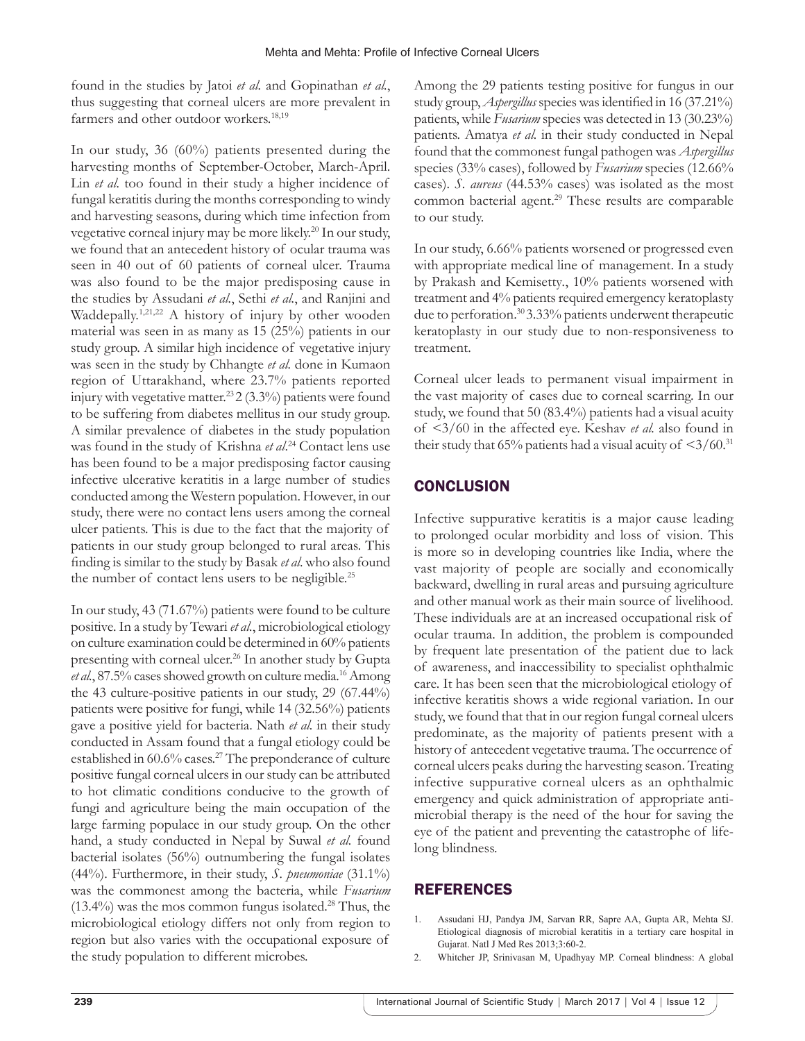found in the studies by Jatoi *et al.* and Gopinathan *et al.*, thus suggesting that corneal ulcers are more prevalent in farmers and other outdoor workers.<sup>18,19</sup>

In our study, 36 (60%) patients presented during the harvesting months of September-October, March-April. Lin *et al.* too found in their study a higher incidence of fungal keratitis during the months corresponding to windy and harvesting seasons, during which time infection from vegetative corneal injury may be more likely.<sup>20</sup> In our study, we found that an antecedent history of ocular trauma was seen in 40 out of 60 patients of corneal ulcer. Trauma was also found to be the major predisposing cause in the studies by Assudani *et al.*, Sethi *et al.*, and Ranjini and Waddepally.<sup>1,21,22</sup> A history of injury by other wooden material was seen in as many as 15 (25%) patients in our study group. A similar high incidence of vegetative injury was seen in the study by Chhangte *et al.* done in Kumaon region of Uttarakhand, where 23.7% patients reported injury with vegetative matter.<sup>23</sup> 2 (3.3%) patients were found to be suffering from diabetes mellitus in our study group. A similar prevalence of diabetes in the study population was found in the study of Krishna *et al*. 24 Contact lens use has been found to be a major predisposing factor causing infective ulcerative keratitis in a large number of studies conducted among the Western population. However, in our study, there were no contact lens users among the corneal ulcer patients. This is due to the fact that the majority of patients in our study group belonged to rural areas. This finding is similar to the study by Basak *et al*. who also found the number of contact lens users to be negligible.<sup>25</sup>

In our study, 43 (71.67%) patients were found to be culture positive. In a study by Tewari *et al.*, microbiological etiology on culture examination could be determined in 60% patients presenting with corneal ulcer.<sup>26</sup> In another study by Gupta *et al.*, 87.5% cases showed growth on culture media.16 Among the 43 culture-positive patients in our study, 29 (67.44%) patients were positive for fungi, while 14 (32.56%) patients gave a positive yield for bacteria. Nath *et al.* in their study conducted in Assam found that a fungal etiology could be established in 60.6% cases.<sup>27</sup> The preponderance of culture positive fungal corneal ulcers in our study can be attributed to hot climatic conditions conducive to the growth of fungi and agriculture being the main occupation of the large farming populace in our study group. On the other hand, a study conducted in Nepal by Suwal *et al.* found bacterial isolates (56%) outnumbering the fungal isolates (44%). Furthermore, in their study, *S. pneumoniae* (31.1%) was the commonest among the bacteria, while *Fusarium*  $(13.4\%)$  was the mos common fungus isolated.<sup>28</sup> Thus, the microbiological etiology differs not only from region to region but also varies with the occupational exposure of the study population to different microbes.

Among the 29 patients testing positive for fungus in our study group, *Aspergillus* species was identified in 16 (37.21%) patients, while *Fusarium* species was detected in 13 (30.23%) patients. Amatya *et al.* in their study conducted in Nepal found that the commonest fungal pathogen was *Aspergillus* species (33% cases), followed by *Fusarium* species (12.66% cases). *S. aureus* (44.53% cases) was isolated as the most common bacterial agent.<sup>29</sup> These results are comparable to our study.

In our study, 6.66% patients worsened or progressed even with appropriate medical line of management. In a study by Prakash and Kemisetty*.*, 10% patients worsened with treatment and 4% patients required emergency keratoplasty due to perforation.30 3.33% patients underwent therapeutic keratoplasty in our study due to non-responsiveness to treatment.

Corneal ulcer leads to permanent visual impairment in the vast majority of cases due to corneal scarring. In our study, we found that 50 (83.4%) patients had a visual acuity of <3/60 in the affected eye. Keshav *et al.* also found in their study that 65% patients had a visual acuity of  $\leq 3/60$ .<sup>31</sup>

## **CONCLUSION**

Infective suppurative keratitis is a major cause leading to prolonged ocular morbidity and loss of vision. This is more so in developing countries like India, where the vast majority of people are socially and economically backward, dwelling in rural areas and pursuing agriculture and other manual work as their main source of livelihood. These individuals are at an increased occupational risk of ocular trauma. In addition, the problem is compounded by frequent late presentation of the patient due to lack of awareness, and inaccessibility to specialist ophthalmic care. It has been seen that the microbiological etiology of infective keratitis shows a wide regional variation. In our study, we found that that in our region fungal corneal ulcers predominate, as the majority of patients present with a history of antecedent vegetative trauma. The occurrence of corneal ulcers peaks during the harvesting season. Treating infective suppurative corneal ulcers as an ophthalmic emergency and quick administration of appropriate antimicrobial therapy is the need of the hour for saving the eye of the patient and preventing the catastrophe of lifelong blindness.

## REFERENCES

- 1. Assudani HJ, Pandya JM, Sarvan RR, Sapre AA, Gupta AR, Mehta SJ. Etiological diagnosis of microbial keratitis in a tertiary care hospital in Gujarat. Natl J Med Res 2013;3:60-2.
- 2. Whitcher JP, Srinivasan M, Upadhyay MP. Corneal blindness: A global